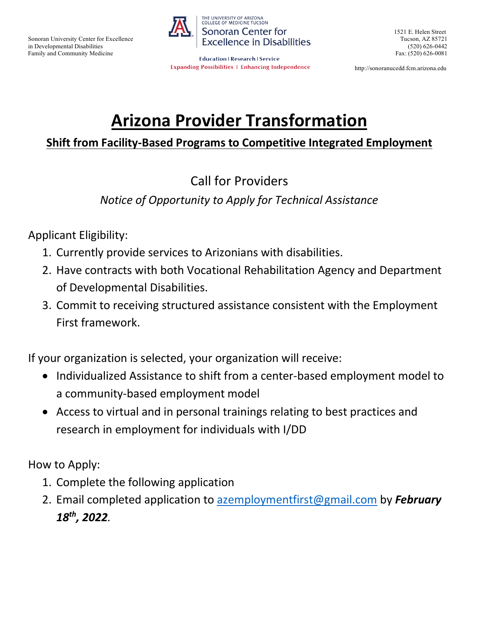in Developmental Disabilities (520) 626-0442



Family and Community Medicine<br>
Fax: (520) 626-0081 **Expanding Possibilities | Enhancing Independence** 

1521 E. Helen Street

http://sonoranucedd.fcm.arizona.edu

# **Arizona Provider Transformation**

## **Shift from Facility-Based Programs to Competitive Integrated Employment**

# Call for Providers

### *Notice of Opportunity to Apply for Technical Assistance*

Applicant Eligibility:

- 1. Currently provide services to Arizonians with disabilities.
- 2. Have contracts with both Vocational Rehabilitation Agency and Department of Developmental Disabilities.
- 3. Commit to receiving structured assistance consistent with the Employment First framework.

If your organization is selected, your organization will receive:

- Individualized Assistance to shift from a center-based employment model to a community-based employment model
- Access to virtual and in personal trainings relating to best practices and research in employment for individuals with I/DD

How to Apply:

- 1. Complete the following application
- 2. Email completed application to [azemploymentfirst@gmail.com](mailto:azemploymentfirst@gmail.com) by *February 18th, 2022.*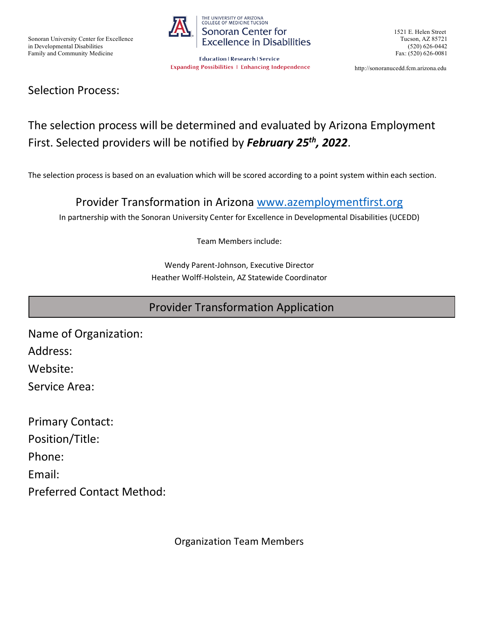

Family and Community Medicine<br>
Fax: (520) 626-0081 **Expanding Possibilities | Enhancing Independence** 

1521 E. Helen Street

http://sonoranucedd.fcm.arizona.edu

#### Selection Process:

# The selection process will be determined and evaluated by Arizona Employment First. Selected providers will be notified by *February 25th, 2022*.

The selection process is based on an evaluation which will be scored according to a point system within each section.

#### Provider Transformation in Arizona [www.azemploymentfirst.org](http://www.azemploymentfirst.org/)

In partnership with the Sonoran University Center for Excellence in Developmental Disabilities (UCEDD)

Team Members include:

Wendy Parent-Johnson, Executive Director Heather Wolff-Holstein, AZ Statewide Coordinator

#### Provider Transformation Application

Name of Organization: Address: Website:

Service Area:

Primary Contact: Position/Title: Phone: Email: Preferred Contact Method:

Organization Team Members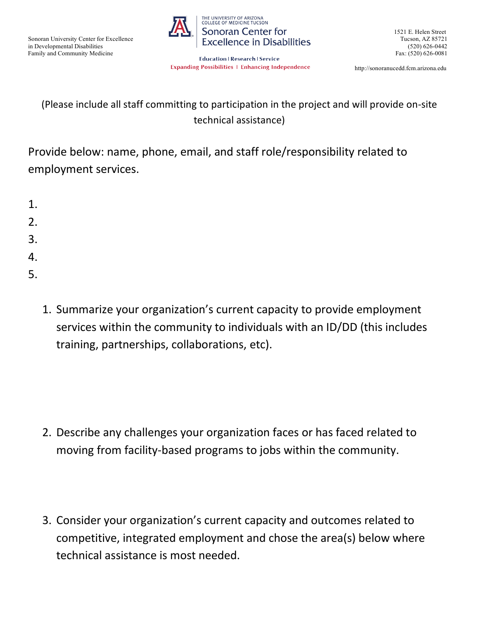

1521 E. Helen Street

Family and Community Medicine<br>Education | Research | Service<br>Fax: (520) 626-0081 **Expanding Possibilities | Enhancing Independence** 

http://sonoranucedd.fcm.arizona.edu

# (Please include all staff committing to participation in the project and will provide on-site technical assistance)

Provide below: name, phone, email, and staff role/responsibility related to employment services.

- 1. 2. 3. 4. 5.
	- 1. Summarize your organization's current capacity to provide employment services within the community to individuals with an ID/DD (this includes training, partnerships, collaborations, etc).

- 2. Describe any challenges your organization faces or has faced related to moving from facility-based programs to jobs within the community.
- 3. Consider your organization's current capacity and outcomes related to competitive, integrated employment and chose the area(s) below where technical assistance is most needed.